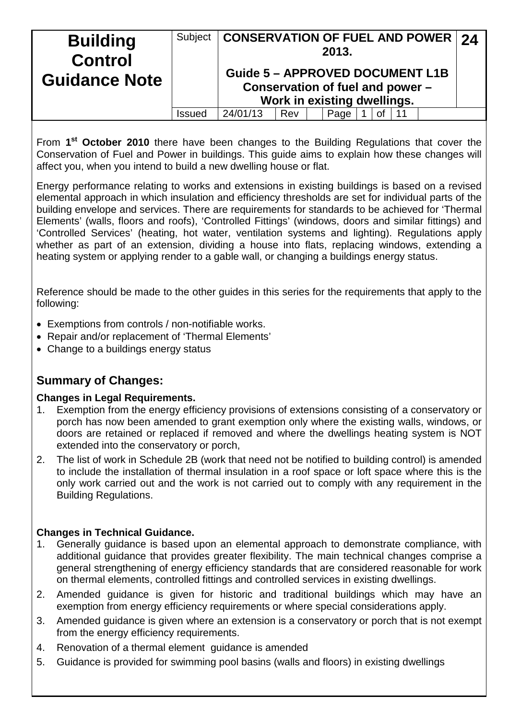| <b>Building</b><br><b>Control</b><br><b>Guidance Note</b> | Subject | <b>CONSERVATION OF FUEL AND POWER 24</b><br><b>Guide 5 - APPROVED DOCUMENT L1B</b><br>Conservation of fuel and power - |     | 2013.<br>Work in existing dwellings. |  |  |  |
|-----------------------------------------------------------|---------|------------------------------------------------------------------------------------------------------------------------|-----|--------------------------------------|--|--|--|
|                                                           | Issued  | 24/01/13                                                                                                               | Rev | Page                                 |  |  |  |

From **1st October 2010** there have been changes to the Building Regulations that cover the Conservation of Fuel and Power in buildings. This guide aims to explain how these changes will affect you, when you intend to build a new dwelling house or flat.

Energy performance relating to works and extensions in existing buildings is based on a revised elemental approach in which insulation and efficiency thresholds are set for individual parts of the building envelope and services. There are requirements for standards to be achieved for 'Thermal Elements' (walls, floors and roofs), 'Controlled Fittings' (windows, doors and similar fittings) and 'Controlled Services' (heating, hot water, ventilation systems and lighting). Regulations apply whether as part of an extension, dividing a house into flats, replacing windows, extending a heating system or applying render to a gable wall, or changing a buildings energy status.

Reference should be made to the other guides in this series for the requirements that apply to the following:

- Exemptions from controls / non-notifiable works.
- Repair and/or replacement of 'Thermal Elements'
- Change to a buildings energy status

## **Summary of Changes:**

#### **Changes in Legal Requirements.**

- 1. Exemption from the energy efficiency provisions of extensions consisting of a conservatory or porch has now been amended to grant exemption only where the existing walls, windows, or doors are retained or replaced if removed and where the dwellings heating system is NOT extended into the conservatory or porch,
- 2. The list of work in Schedule 2B (work that need not be notified to building control) is amended to include the installation of thermal insulation in a roof space or loft space where this is the only work carried out and the work is not carried out to comply with any requirement in the Building Regulations.

### **Changes in Technical Guidance.**

- 1. Generally guidance is based upon an elemental approach to demonstrate compliance, with additional guidance that provides greater flexibility. The main technical changes comprise a general strengthening of energy efficiency standards that are considered reasonable for work on thermal elements, controlled fittings and controlled services in existing dwellings.
- 2. Amended guidance is given for historic and traditional buildings which may have an exemption from energy efficiency requirements or where special considerations apply.
- 3. Amended guidance is given where an extension is a conservatory or porch that is not exempt from the energy efficiency requirements.
- 4. Renovation of a thermal element guidance is amended
- 5. Guidance is provided for swimming pool basins (walls and floors) in existing dwellings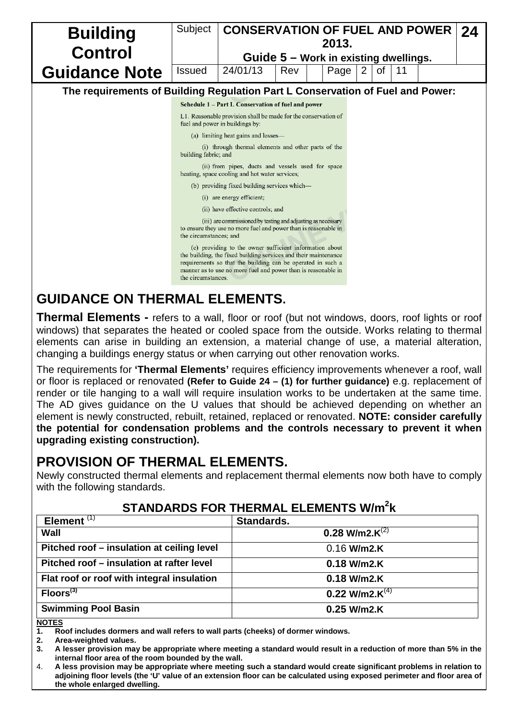| <b>Building</b>      | Subject            | <b>CONSERVATION OF FUEL AND POWER</b>                                                                                                                                                                                                                      |     | 2013. |                |    |    |  | 24 |  |  |  |
|----------------------|--------------------|------------------------------------------------------------------------------------------------------------------------------------------------------------------------------------------------------------------------------------------------------------|-----|-------|----------------|----|----|--|----|--|--|--|
| <b>Control</b>       |                    | Guide 5 - Work in existing dwellings.                                                                                                                                                                                                                      |     |       |                |    |    |  |    |  |  |  |
| <b>Guidance Note</b> | <b>Issued</b>      | 24/01/13                                                                                                                                                                                                                                                   | Rev | Page  | $\overline{2}$ | οf | 11 |  |    |  |  |  |
|                      |                    | The requirements of Building Regulation Part L Conservation of Fuel and Power:                                                                                                                                                                             |     |       |                |    |    |  |    |  |  |  |
|                      |                    | Schedule 1 - Part L Conservation of fuel and power                                                                                                                                                                                                         |     |       |                |    |    |  |    |  |  |  |
|                      |                    | L1. Reasonable provision shall be made for the conservation of<br>fuel and power in buildings by:                                                                                                                                                          |     |       |                |    |    |  |    |  |  |  |
|                      |                    | (a) limiting heat gains and losses—                                                                                                                                                                                                                        |     |       |                |    |    |  |    |  |  |  |
|                      |                    | (i) through thermal elements and other parts of the<br>building fabric, and                                                                                                                                                                                |     |       |                |    |    |  |    |  |  |  |
|                      |                    | (ii) from pipes, ducts and vessels used for space<br>heating, space cooling and hot water services;                                                                                                                                                        |     |       |                |    |    |  |    |  |  |  |
|                      |                    | (b) providing fixed building services which—                                                                                                                                                                                                               |     |       |                |    |    |  |    |  |  |  |
|                      |                    | (i) are energy efficient;                                                                                                                                                                                                                                  |     |       |                |    |    |  |    |  |  |  |
|                      |                    | (ii) have effective controls; and                                                                                                                                                                                                                          |     |       |                |    |    |  |    |  |  |  |
|                      |                    | (iii) are commissioned by testing and adjusting as necessary<br>to ensure they use no more fuel and power than is reasonable in<br>the circumstances; and                                                                                                  |     |       |                |    |    |  |    |  |  |  |
|                      | the circumstances. | (c) providing to the owner sufficient information about<br>the building, the fixed building services and their maintenance<br>requirements so that the building can be operated in such a<br>manner as to use no more fuel and power than is reasonable in |     |       |                |    |    |  |    |  |  |  |

# **GUIDANCE ON THERMAL ELEMENTS.**

**Thermal Elements -** refers to a wall, floor or roof (but not windows, doors, roof lights or roof windows) that separates the heated or cooled space from the outside. Works relating to thermal elements can arise in building an extension, a material change of use, a material alteration, changing a buildings energy status or when carrying out other renovation works.

The requirements for **'Thermal Elements'** requires efficiency improvements whenever a roof, wall or floor is replaced or renovated **(Refer to Guide 24 – (1) for further guidance)** e.g. replacement of render or tile hanging to a wall will require insulation works to be undertaken at the same time. The AD gives guidance on the U values that should be achieved depending on whether an element is newly constructed, rebuilt, retained, replaced or renovated. **NOTE: consider carefully the potential for condensation problems and the controls necessary to prevent it when upgrading existing construction).**

# **PROVISION OF THERMAL ELEMENTS.**

Newly constructed thermal elements and replacement thermal elements now both have to comply with the following standards.

| Element $\overline{11}$                    | Standards.           |
|--------------------------------------------|----------------------|
| Wall                                       | 0.28 W/m2.K $^{(2)}$ |
| Pitched roof – insulation at ceiling level | $0.16$ W/m2.K        |
| Pitched roof - insulation at rafter level  | $0.18$ W/m2.K        |
| Flat roof or roof with integral insulation | $0.18$ W/m2.K        |
| Floors <sup>(3)</sup>                      | 0.22 W/m2. $K^{(4)}$ |
| <b>Swimming Pool Basin</b>                 | $0.25$ W/m2.K        |

## **STANDARDS FOR THERMAL ELEMENTS W/m2 k**

#### **NOTES**

**1. Roof includes dormers and wall refers to wall parts (cheeks) of dormer windows.**

**2. Area-weighted values.**

- **3. A lesser provision may be appropriate where meeting a standard would result in a reduction of more than 5% in the internal floor area of the room bounded by the wall.**
- 4. **A less provision may be appropriate where meeting such a standard would create significant problems in relation to adjoining floor levels (the 'U' value of an extension floor can be calculated using exposed perimeter and floor area of the whole enlarged dwelling.**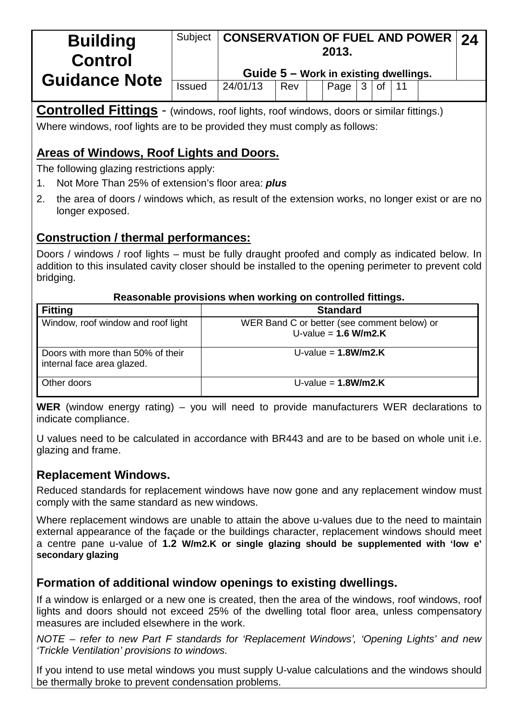| <b>Building</b><br><b>Control</b> | Subject       | <b>CONSERVATION OF FUEL AND POWER 24</b><br>2013. |     |  |      |   |    |  |  |  |
|-----------------------------------|---------------|---------------------------------------------------|-----|--|------|---|----|--|--|--|
|                                   |               | Guide $5 -$ Work in existing dwellings.           |     |  |      |   |    |  |  |  |
| <b>Guidance Note</b>              | <b>Issued</b> | 24/01/13                                          | Rev |  | Page | 3 | 0f |  |  |  |

**Controlled Fittings** - (windows, roof lights, roof windows, doors or similar fittings.)

Where windows, roof lights are to be provided they must comply as follows:

## **Areas of Windows, Roof Lights and Doors.**

The following glazing restrictions apply:

- 1. Not More Than 25% of extension's floor area: *plus*
- 2. the area of doors / windows which, as result of the extension works, no longer exist or are no longer exposed.

## **Construction / thermal performances:**

Doors / windows / roof lights – must be fully draught proofed and comply as indicated below. In addition to this insulated cavity closer should be installed to the opening perimeter to prevent cold bridging.

### **Reasonable provisions when working on controlled fittings.**

| <b>Fitting</b>                                                  | <b>Standard</b>                                                       |
|-----------------------------------------------------------------|-----------------------------------------------------------------------|
| Window, roof window and roof light                              | WER Band C or better (see comment below) or<br>U-value = $1.6$ W/m2.K |
| Doors with more than 50% of their<br>internal face area glazed. | U-value = $1.8$ W/m2.K                                                |
| Other doors                                                     | U-value = $1.8$ W/m2.K                                                |

**WER** (window energy rating) – you will need to provide manufacturers WER declarations to indicate compliance.

U values need to be calculated in accordance with BR443 and are to be based on whole unit i.e. glazing and frame.

## **Replacement Windows.**

Reduced standards for replacement windows have now gone and any replacement window must comply with the same standard as new windows.

Where replacement windows are unable to attain the above u-values due to the need to maintain external appearance of the façade or the buildings character, replacement windows should meet a centre pane u-value of **1.2 W/m2.K or single glazing should be supplemented with 'low e' secondary glazing** 

## **Formation of additional window openings to existing dwellings.**

If a window is enlarged or a new one is created, then the area of the windows, roof windows, roof lights and doors should not exceed 25% of the dwelling total floor area, unless compensatory measures are included elsewhere in the work.

*NOTE – refer to new Part F standards for 'Replacement Windows', 'Opening Lights' and new 'Trickle Ventilation' provisions to windows.*

If you intend to use metal windows you must supply U-value calculations and the windows should be thermally broke to prevent condensation problems.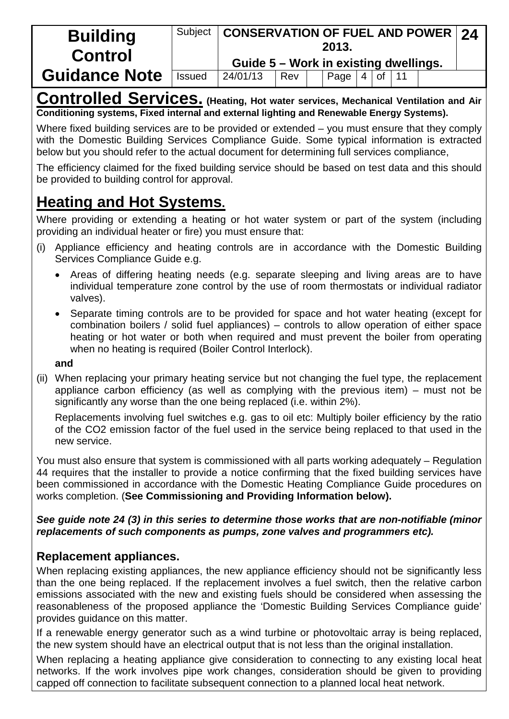| <b>Building</b><br><b>Control</b> | Subject       | <b>CONSERVATION OF FUEL AND POWER 24</b><br>2013. |     |  |            |  |         |  |  |  |  |
|-----------------------------------|---------------|---------------------------------------------------|-----|--|------------|--|---------|--|--|--|--|
|                                   |               | Guide 5 - Work in existing dwellings.             |     |  |            |  |         |  |  |  |  |
| <b>Guidance Note</b>              | <b>Issued</b> | 24/01/13                                          | Rev |  | Page $ 4 $ |  | $of$ 11 |  |  |  |  |

**Controlled Services. (Heating, Hot water services, Mechanical Ventilation and Air Conditioning systems, Fixed internal and external lighting and Renewable Energy Systems).**

Where fixed building services are to be provided or extended – you must ensure that they comply with the Domestic Building Services Compliance Guide. Some typical information is extracted below but you should refer to the actual document for determining full services compliance,

The efficiency claimed for the fixed building service should be based on test data and this should be provided to building control for approval.

# **Heating and Hot Systems.**

Where providing or extending a heating or hot water system or part of the system (including providing an individual heater or fire) you must ensure that:

- (i) Appliance efficiency and heating controls are in accordance with the Domestic Building Services Compliance Guide e.g.
	- Areas of differing heating needs (e.g. separate sleeping and living areas are to have individual temperature zone control by the use of room thermostats or individual radiator valves).
	- Separate timing controls are to be provided for space and hot water heating (except for combination boilers / solid fuel appliances) – controls to allow operation of either space heating or hot water or both when required and must prevent the boiler from operating when no heating is required (Boiler Control Interlock).

### **and**

(ii) When replacing your primary heating service but not changing the fuel type, the replacement appliance carbon efficiency (as well as complying with the previous item) – must not be significantly any worse than the one being replaced (i.e. within 2%).

Replacements involving fuel switches e.g. gas to oil etc: Multiply boiler efficiency by the ratio of the CO2 emission factor of the fuel used in the service being replaced to that used in the new service.

You must also ensure that system is commissioned with all parts working adequately – Regulation 44 requires that the installer to provide a notice confirming that the fixed building services have been commissioned in accordance with the Domestic Heating Compliance Guide procedures on works completion. (**See Commissioning and Providing Information below).**

### *See guide note 24 (3) in this series to determine those works that are non-notifiable (minor replacements of such components as pumps, zone valves and programmers etc).*

## **Replacement appliances.**

When replacing existing appliances, the new appliance efficiency should not be significantly less than the one being replaced. If the replacement involves a fuel switch, then the relative carbon emissions associated with the new and existing fuels should be considered when assessing the reasonableness of the proposed appliance the 'Domestic Building Services Compliance guide' provides guidance on this matter.

If a renewable energy generator such as a wind turbine or photovoltaic array is being replaced, the new system should have an electrical output that is not less than the original installation.

When replacing a heating appliance give consideration to connecting to any existing local heat networks. If the work involves pipe work changes, consideration should be given to providing capped off connection to facilitate subsequent connection to a planned local heat network.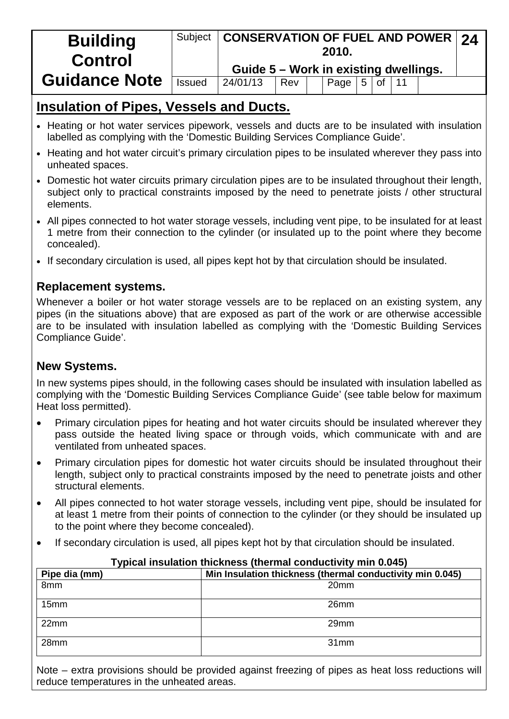| <b>Building</b><br><b>Control</b> | Subject       | <b>CONSERVATION OF FUEL AND POWER 24</b><br>2010. |     |  |      |   |               |  |  |  |  |  |
|-----------------------------------|---------------|---------------------------------------------------|-----|--|------|---|---------------|--|--|--|--|--|
|                                   |               | Guide 5 - Work in existing dwellings.             |     |  |      |   |               |  |  |  |  |  |
| <b>Guidance Note</b>              | <b>Issued</b> | 24/01/13                                          | Rev |  | Page | 5 | of $\vert$ 11 |  |  |  |  |  |

# **Insulation of Pipes, Vessels and Ducts.**

- Heating or hot water services pipework, vessels and ducts are to be insulated with insulation labelled as complying with the 'Domestic Building Services Compliance Guide'.
- Heating and hot water circuit's primary circulation pipes to be insulated wherever they pass into unheated spaces.
- Domestic hot water circuits primary circulation pipes are to be insulated throughout their length, subject only to practical constraints imposed by the need to penetrate joists / other structural elements.
- All pipes connected to hot water storage vessels, including vent pipe, to be insulated for at least 1 metre from their connection to the cylinder (or insulated up to the point where they become concealed).
- If secondary circulation is used, all pipes kept hot by that circulation should be insulated.

## **Replacement systems.**

Whenever a boiler or hot water storage vessels are to be replaced on an existing system, any pipes (in the situations above) that are exposed as part of the work or are otherwise accessible are to be insulated with insulation labelled as complying with the 'Domestic Building Services Compliance Guide'.

## **New Systems.**

In new systems pipes should, in the following cases should be insulated with insulation labelled as complying with the 'Domestic Building Services Compliance Guide' (see table below for maximum Heat loss permitted).

- Primary circulation pipes for heating and hot water circuits should be insulated wherever they pass outside the heated living space or through voids, which communicate with and are ventilated from unheated spaces.
- Primary circulation pipes for domestic hot water circuits should be insulated throughout their length, subject only to practical constraints imposed by the need to penetrate joists and other structural elements.
- All pipes connected to hot water storage vessels, including vent pipe, should be insulated for at least 1 metre from their points of connection to the cylinder (or they should be insulated up to the point where they become concealed).
- If secondary circulation is used, all pipes kept hot by that circulation should be insulated.

| Pipe dia (mm)    | Min Insulation thickness (thermal conductivity min 0.045) |
|------------------|-----------------------------------------------------------|
| 8mm              | 20 <sub>mm</sub>                                          |
| 15 <sub>mm</sub> | 26 <sub>mm</sub>                                          |
| 22mm             | 29mm                                                      |
| 28 <sub>mm</sub> | 31mm                                                      |

### **Typical insulation thickness (thermal conductivity min 0.045)**

Note – extra provisions should be provided against freezing of pipes as heat loss reductions will reduce temperatures in the unheated areas.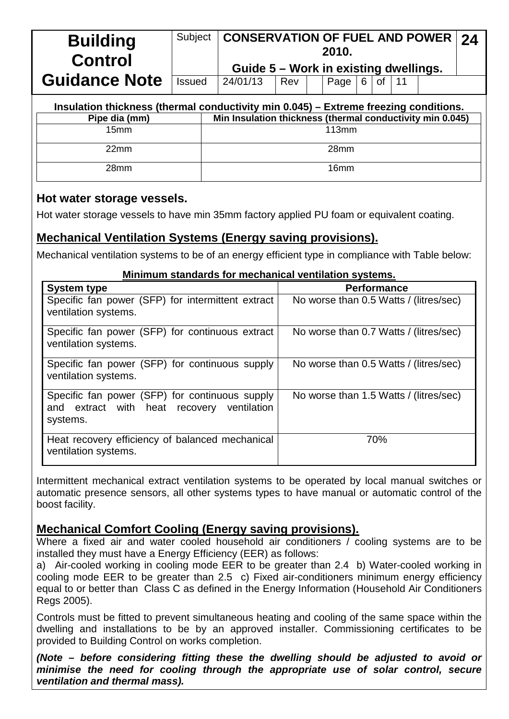| <b>Building</b><br><b>Control</b>                                                    | Subject       | <b>CONSERVATION OF FUEL AND POWER</b><br>24<br>2010.<br>Guide 5 - Work in existing dwellings. |  |  |       |  |  |  |  |  |  |
|--------------------------------------------------------------------------------------|---------------|-----------------------------------------------------------------------------------------------|--|--|-------|--|--|--|--|--|--|
| <b>Guidance Note</b>                                                                 | <b>Issued</b> | 24/01/13<br>6<br><b>of</b><br>Rev<br>Page                                                     |  |  |       |  |  |  |  |  |  |
| Insulation thickness (thermal conductivity min 0.045) - Extreme freezing conditions. |               |                                                                                               |  |  |       |  |  |  |  |  |  |
| Pipe dia (mm)                                                                        |               | Min Insulation thickness (thermal conductivity min 0.045)                                     |  |  |       |  |  |  |  |  |  |
| 15 <sub>mm</sub>                                                                     |               |                                                                                               |  |  | 113mm |  |  |  |  |  |  |
| 22 <sub>mm</sub>                                                                     |               | 28mm                                                                                          |  |  |       |  |  |  |  |  |  |
| 28mm                                                                                 |               |                                                                                               |  |  | 16mm  |  |  |  |  |  |  |

### **Hot water storage vessels.**

Hot water storage vessels to have min 35mm factory applied PU foam or equivalent coating.

### **Mechanical Ventilation Systems (Energy saving provisions).**

Mechanical ventilation systems to be of an energy efficient type in compliance with Table below:

#### **Minimum standards for mechanical ventilation systems.**

| <b>System type</b>                                                                                          | <b>Performance</b>                     |
|-------------------------------------------------------------------------------------------------------------|----------------------------------------|
| Specific fan power (SFP) for intermittent extract<br>ventilation systems.                                   | No worse than 0.5 Watts / (litres/sec) |
| Specific fan power (SFP) for continuous extract<br>ventilation systems.                                     | No worse than 0.7 Watts / (litres/sec) |
| Specific fan power (SFP) for continuous supply<br>ventilation systems.                                      | No worse than 0.5 Watts / (litres/sec) |
| Specific fan power (SFP) for continuous supply<br>and extract with heat recovery<br>ventilation<br>systems. | No worse than 1.5 Watts / (litres/sec) |
| Heat recovery efficiency of balanced mechanical<br>ventilation systems.                                     | 70%                                    |

Intermittent mechanical extract ventilation systems to be operated by local manual switches or automatic presence sensors, all other systems types to have manual or automatic control of the boost facility.

### **Mechanical Comfort Cooling (Energy saving provisions).**

Where a fixed air and water cooled household air conditioners / cooling systems are to be installed they must have a Energy Efficiency (EER) as follows:

a) Air-cooled working in cooling mode EER to be greater than 2.4 b) Water-cooled working in cooling mode EER to be greater than 2.5 c) Fixed air-conditioners minimum energy efficiency equal to or better than Class C as defined in the Energy Information (Household Air Conditioners Regs 2005).

Controls must be fitted to prevent simultaneous heating and cooling of the same space within the dwelling and installations to be by an approved installer. Commissioning certificates to be provided to Building Control on works completion.

*(Note – before considering fitting these the dwelling should be adjusted to avoid or minimise the need for cooling through the appropriate use of solar control, secure ventilation and thermal mass).*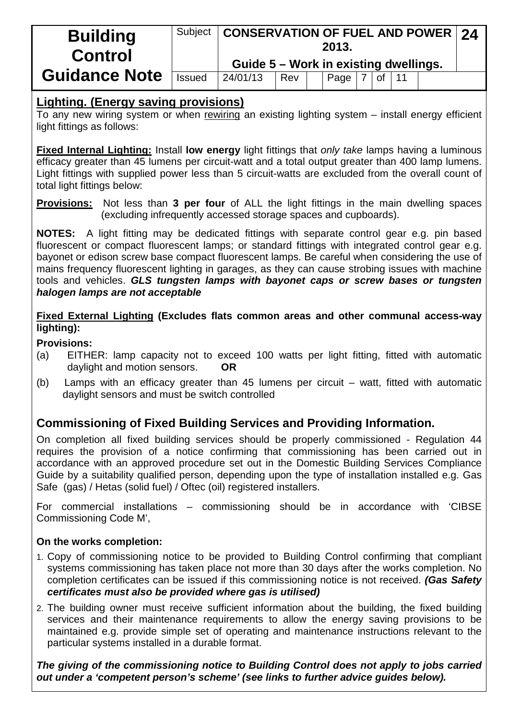| <b>Building</b><br><b>Control</b> |               | Subject   CONSERVATION OF FUEL AND POWER   24<br>2013. |     |  |      |  |    |    |  |  |  |
|-----------------------------------|---------------|--------------------------------------------------------|-----|--|------|--|----|----|--|--|--|
|                                   |               | Guide 5 - Work in existing dwellings.                  |     |  |      |  |    |    |  |  |  |
| <b>Guidance Note</b>              | <b>Issued</b> | 24/01/13                                               | Rev |  | Page |  | of | 11 |  |  |  |

### **Lighting. (Energy saving provisions)**

To any new wiring system or when rewiring an existing lighting system – install energy efficient light fittings as follows:

**Fixed Internal Lighting:** Install **low energy** light fittings that *only take* lamps having a luminous efficacy greater than 45 lumens per circuit-watt and a total output greater than 400 lamp lumens. Light fittings with supplied power less than 5 circuit-watts are excluded from the overall count of total light fittings below:

**Provisions:** Not less than **3 per four** of ALL the light fittings in the main dwelling spaces (excluding infrequently accessed storage spaces and cupboards).

**NOTES:** A light fitting may be dedicated fittings with separate control gear e.g. pin based fluorescent or compact fluorescent lamps; or standard fittings with integrated control gear e.g. bayonet or edison screw base compact fluorescent lamps. Be careful when considering the use of mains frequency fluorescent lighting in garages, as they can cause strobing issues with machine tools and vehicles. *GLS tungsten lamps with bayonet caps or screw bases or tungsten halogen lamps are not acceptable*

**Fixed External Lighting (Excludes flats common areas and other communal access-way lighting):**

#### **Provisions:**

- (a) EITHER: lamp capacity not to exceed 100 watts per light fitting, fitted with automatic daylight and motion sensors. **OR**
- (b) Lamps with an efficacy greater than 45 lumens per circuit watt, fitted with automatic daylight sensors and must be switch controlled

## **Commissioning of Fixed Building Services and Providing Information.**

On completion all fixed building services should be properly commissioned - Regulation 44 requires the provision of a notice confirming that commissioning has been carried out in accordance with an approved procedure set out in the Domestic Building Services Compliance Guide by a suitability qualified person, depending upon the type of installation installed e.g. Gas Safe (gas) / Hetas (solid fuel) / Oftec (oil) registered installers.

For commercial installations – commissioning should be in accordance with 'CIBSE Commissioning Code M',

### **On the works completion:**

- 1. Copy of commissioning notice to be provided to Building Control confirming that compliant systems commissioning has taken place not more than 30 days after the works completion. No completion certificates can be issued if this commissioning notice is not received. *(Gas Safety certificates must also be provided where gas is utilised)*
- 2. The building owner must receive sufficient information about the building, the fixed building services and their maintenance requirements to allow the energy saving provisions to be maintained e.g. provide simple set of operating and maintenance instructions relevant to the particular systems installed in a durable format.

*The giving of the commissioning notice to Building Control does not apply to jobs carried out under a 'competent person's scheme' (see links to further advice guides below).*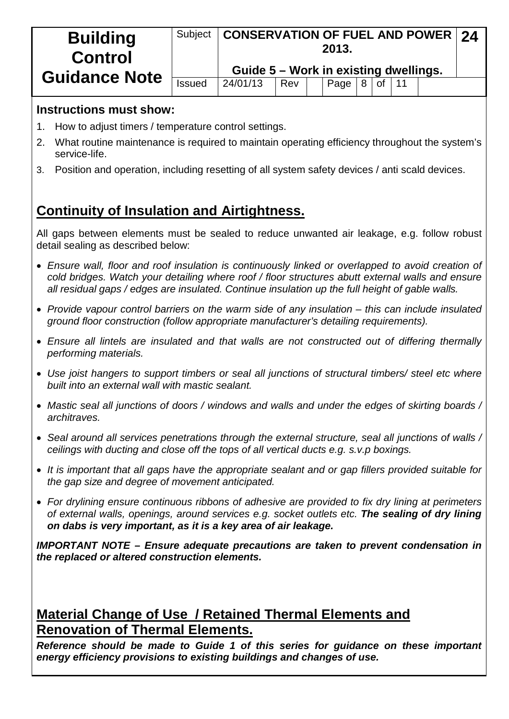| <b>Building</b><br><b>Control</b> |               | Subject   CONSERVATION OF FUEL AND POWER   24<br>2013. |     |  |      |   |    |  |  |  |
|-----------------------------------|---------------|--------------------------------------------------------|-----|--|------|---|----|--|--|--|
|                                   |               | Guide 5 - Work in existing dwellings.                  |     |  |      |   |    |  |  |  |
| <b>Guidance Note</b>              | <b>Issued</b> | 24/01/13                                               | Rev |  | Page | 8 | of |  |  |  |

### **Instructions must show:**

- 1. How to adjust timers / temperature control settings.
- 2. What routine maintenance is required to maintain operating efficiency throughout the system's service-life.
- 3. Position and operation, including resetting of all system safety devices / anti scald devices.

# **Continuity of Insulation and Airtightness.**

All gaps between elements must be sealed to reduce unwanted air leakage, e.g. follow robust detail sealing as described below:

- *Ensure wall, floor and roof insulation is continuously linked or overlapped to avoid creation of cold bridges. Watch your detailing where roof / floor structures abutt external walls and ensure all residual gaps / edges are insulated. Continue insulation up the full height of gable walls.*
- *Provide vapour control barriers on the warm side of any insulation – this can include insulated ground floor construction (follow appropriate manufacturer's detailing requirements).*
- *Ensure all lintels are insulated and that walls are not constructed out of differing thermally performing materials.*
- *Use joist hangers to support timbers or seal all junctions of structural timbers/ steel etc where built into an external wall with mastic sealant.*
- *Mastic seal all junctions of doors / windows and walls and under the edges of skirting boards / architraves.*
- *Seal around all services penetrations through the external structure, seal all junctions of walls / ceilings with ducting and close off the tops of all vertical ducts e.g. s.v.p boxings.*
- *It is important that all gaps have the appropriate sealant and or gap fillers provided suitable for the gap size and degree of movement anticipated.*
- *For drylining ensure continuous ribbons of adhesive are provided to fix dry lining at perimeters of external walls, openings, around services e.g. socket outlets etc. The sealing of dry lining on dabs is very important, as it is a key area of air leakage.*

*IMPORTANT NOTE – Ensure adequate precautions are taken to prevent condensation in the replaced or altered construction elements.*

# **Material Change of Use / Retained Thermal Elements and Renovation of Thermal Elements.**

*Reference should be made to Guide 1 of this series for guidance on these important energy efficiency provisions to existing buildings and changes of use.*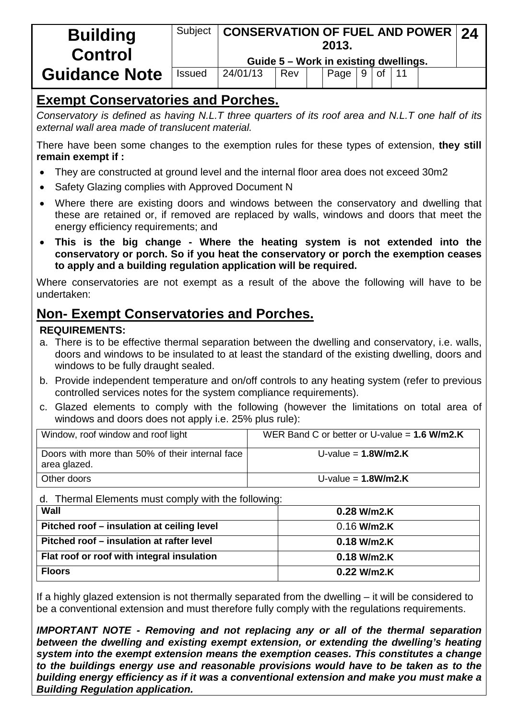| <b>Building</b><br><b>Control</b> | Subject       | <b>CONSERVATION OF FUEL AND POWER 24</b> |     | 2013.<br>Guide 5 - Work in existing dwellings. |   |               |  |  |
|-----------------------------------|---------------|------------------------------------------|-----|------------------------------------------------|---|---------------|--|--|
| <b>Guidance Note</b>              | <b>Issued</b> | 24/01/13                                 | Rev | Page                                           | 9 | <sub>of</sub> |  |  |

# **Exempt Conservatories and Porches.**

*Conservatory is defined as having N.L.T three quarters of its roof area and N.L.T one half of its external wall area made of translucent material.*

There have been some changes to the exemption rules for these types of extension, **they still remain exempt if :**

- They are constructed at ground level and the internal floor area does not exceed 30m2
- Safety Glazing complies with Approved Document N
- Where there are existing doors and windows between the conservatory and dwelling that these are retained or, if removed are replaced by walls, windows and doors that meet the energy efficiency requirements; and
- **This is the big change - Where the heating system is not extended into the conservatory or porch. So if you heat the conservatory or porch the exemption ceases to apply and a building regulation application will be required.**

Where conservatories are not exempt as a result of the above the following will have to be undertaken:

# **Non- Exempt Conservatories and Porches.**

### **REQUIREMENTS:**

- a. There is to be effective thermal separation between the dwelling and conservatory, i.e. walls, doors and windows to be insulated to at least the standard of the existing dwelling, doors and windows to be fully draught sealed.
- b. Provide independent temperature and on/off controls to any heating system (refer to previous controlled services notes for the system compliance requirements).
- c. Glazed elements to comply with the following (however the limitations on total area of windows and doors does not apply i.e. 25% plus rule):

| Window, roof window and roof light                              | WER Band C or better or U-value = $1.6$ W/m2.K |
|-----------------------------------------------------------------|------------------------------------------------|
| Doors with more than 50% of their internal face<br>area glazed. | U-value = $1.8$ W/m2.K                         |
| Other doors                                                     | U-value = $1.8$ W/m2.K                         |

d. Thermal Elements must comply with the following:

| Wall                                       | 0.28 W/m2.K   |
|--------------------------------------------|---------------|
| Pitched roof – insulation at ceiling level | $0.16$ W/m2.K |
| Pitched roof – insulation at rafter level  | $0.18$ W/m2.K |
| Flat roof or roof with integral insulation | $0.18$ W/m2.K |
| <b>Floors</b>                              | $0.22$ W/m2.K |

If a highly glazed extension is not thermally separated from the dwelling – it will be considered to be a conventional extension and must therefore fully comply with the regulations requirements.

*IMPORTANT NOTE - Removing and not replacing any or all of the thermal separation between the dwelling and existing exempt extension, or extending the dwelling's heating system into the exempt extension means the exemption ceases. This constitutes a change to the buildings energy use and reasonable provisions would have to be taken as to the building energy efficiency as if it was a conventional extension and make you must make a Building Regulation application.*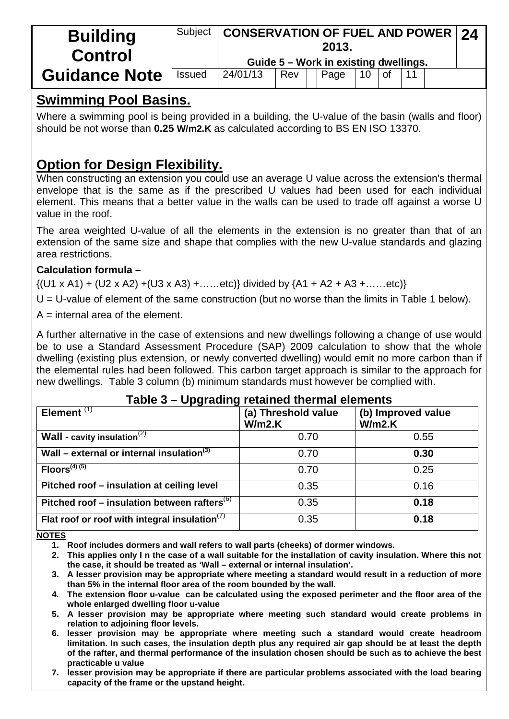| <b>Building</b><br><b>Control</b> | Subject       | <b>CONSERVATION OF FUEL AND POWER 24</b><br>2013. |     |  |                                       |    |           |  |  |  |
|-----------------------------------|---------------|---------------------------------------------------|-----|--|---------------------------------------|----|-----------|--|--|--|
|                                   |               |                                                   |     |  | Guide 5 – Work in existing dwellings. |    |           |  |  |  |
| <b>Guidance Note</b>              | <b>Issued</b> | 24/01/13                                          | Rev |  | Page                                  | 10 | <b>of</b> |  |  |  |

# **Swimming Pool Basins.**

Where a swimming pool is being provided in a building, the U-value of the basin (walls and floor) should be not worse than **0.25 W/m2.K** as calculated according to BS EN ISO 13370.

# **Option for Design Flexibility.**

When constructing an extension you could use an average U value across the extension's thermal envelope that is the same as if the prescribed U values had been used for each individual element. This means that a better value in the walls can be used to trade off against a worse U value in the roof.

The area weighted U-value of all the elements in the extension is no greater than that of an extension of the same size and shape that complies with the new U-value standards and glazing area restrictions.

### **Calculation formula –**

 $\{(U1 \times A1) + (U2 \times A2) + (U3 \times A3) + \dots \text{etc.}\}$  divided by  $\{A1 + A2 + A3 + \dots \text{etc.}\}$ 

 $U = U$ -value of element of the same construction (but no worse than the limits in Table 1 below).

 $A =$  internal area of the element.

A further alternative in the case of extensions and new dwellings following a change of use would be to use a Standard Assessment Procedure (SAP) 2009 calculation to show that the whole dwelling (existing plus extension, or newly converted dwelling) would emit no more carbon than if the elemental rules had been followed. This carbon target approach is similar to the approach for new dwellings. Table 3 column (b) minimum standards must however be complied with.

### **Table 3 – Upgrading retained thermal elements**

| . .<br>Element $(1)$                                     | (a) Threshold value<br>W/m2.K | (b) Improved value<br>W/m2.K |
|----------------------------------------------------------|-------------------------------|------------------------------|
| <b>Wall - cavity insulation</b> <sup>(2)</sup>           | 0.70                          | 0.55                         |
| Wall – external or internal insulation $(3)$             | 0.70                          | 0.30                         |
| $Floor(4)(5)}$                                           | 0.70                          | 0.25                         |
| Pitched roof - insulation at ceiling level               | 0.35                          | 0.16                         |
| Pitched roof – insulation between rafters <sup>(6)</sup> | 0.35                          | 0.18                         |
| Flat roof or roof with integral insulation $(7)$         | 0.35                          | 0.18                         |

#### **NOTES**

**1. Roof includes dormers and wall refers to wall parts (cheeks) of dormer windows.**

**2. This applies only I n the case of a wall suitable for the installation of cavity insulation. Where this not the case, it should be treated as 'Wall – external or internal insulation'.**

**3. A lesser provision may be appropriate where meeting a standard would result in a reduction of more than 5% in the internal floor area of the room bounded by the wall.**

**4. The extension floor u-value can be calculated using the exposed perimeter and the floor area of the whole enlarged dwelling floor u-value**

**5. A lesser provision may be appropriate where meeting such standard would create problems in relation to adjoining floor levels.**

**6. lesser provision may be appropriate where meeting such a standard would create headroom limitation. In such cases, the insulation depth plus any required air gap should be at least the depth of the rafter, and thermal performance of the insulation chosen should be such as to achieve the best practicable u value**

**7. lesser provision may be appropriate if there are particular problems associated with the load bearing capacity of the frame or the upstand height.**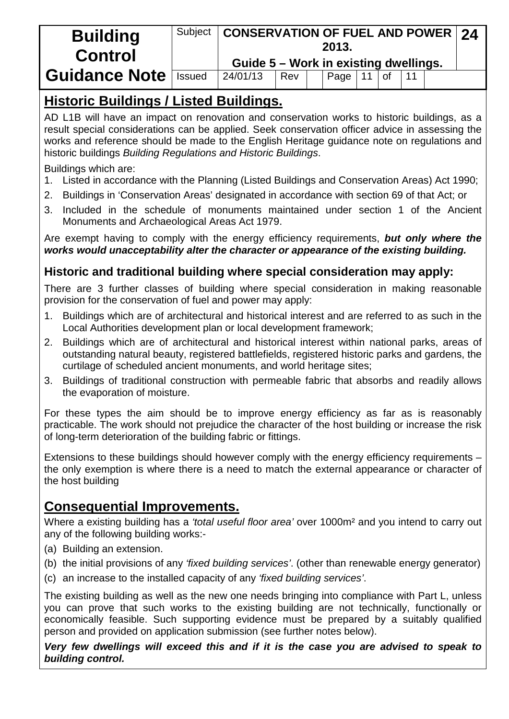| <b>Building</b><br><b>Control</b> |        | Subject   CONSERVATION OF FUEL AND POWER   24<br>2013.<br>Guide 5 - Work in existing dwellings. |     |  |      |  |  |  |  |  |
|-----------------------------------|--------|-------------------------------------------------------------------------------------------------|-----|--|------|--|--|--|--|--|
|                                   |        |                                                                                                 |     |  |      |  |  |  |  |  |
| <b>Guidance Note</b>              | Issued | 24/01/13                                                                                        | Rev |  | Page |  |  |  |  |  |

# **Historic Buildings / Listed Buildings.**

AD L1B will have an impact on renovation and conservation works to historic buildings, as a result special considerations can be applied. Seek conservation officer advice in assessing the works and reference should be made to the English Heritage guidance note on regulations and historic buildings *Building Regulations and Historic Buildings*.

Buildings which are:

- 1. Listed in accordance with the Planning (Listed Buildings and Conservation Areas) Act 1990;
- 2. Buildings in 'Conservation Areas' designated in accordance with section 69 of that Act; or
- 3. Included in the schedule of monuments maintained under section 1 of the Ancient Monuments and Archaeological Areas Act 1979.

Are exempt having to comply with the energy efficiency requirements, *but only where the works would unacceptability alter the character or appearance of the existing building.*

## **Historic and traditional building where special consideration may apply:**

There are 3 further classes of building where special consideration in making reasonable provision for the conservation of fuel and power may apply:

- 1. Buildings which are of architectural and historical interest and are referred to as such in the Local Authorities development plan or local development framework;
- 2. Buildings which are of architectural and historical interest within national parks, areas of outstanding natural beauty, registered battlefields, registered historic parks and gardens, the curtilage of scheduled ancient monuments, and world heritage sites;
- 3. Buildings of traditional construction with permeable fabric that absorbs and readily allows the evaporation of moisture.

For these types the aim should be to improve energy efficiency as far as is reasonably practicable. The work should not prejudice the character of the host building or increase the risk of long-term deterioration of the building fabric or fittings.

Extensions to these buildings should however comply with the energy efficiency requirements – the only exemption is where there is a need to match the external appearance or character of the host building

# **Consequential Improvements.**

Where a existing building has a *'total useful floor area'* over 1000m² and you intend to carry out any of the following building works:-

- (a) Building an extension.
- (b) the initial provisions of any *'fixed building services'*. (other than renewable energy generator)
- (c) an increase to the installed capacity of any *'fixed building services'*.

The existing building as well as the new one needs bringing into compliance with Part L, unless you can prove that such works to the existing building are not technically, functionally or economically feasible. Such supporting evidence must be prepared by a suitably qualified person and provided on application submission (see further notes below).

*Very few dwellings will exceed this and if it is the case you are advised to speak to building control.*